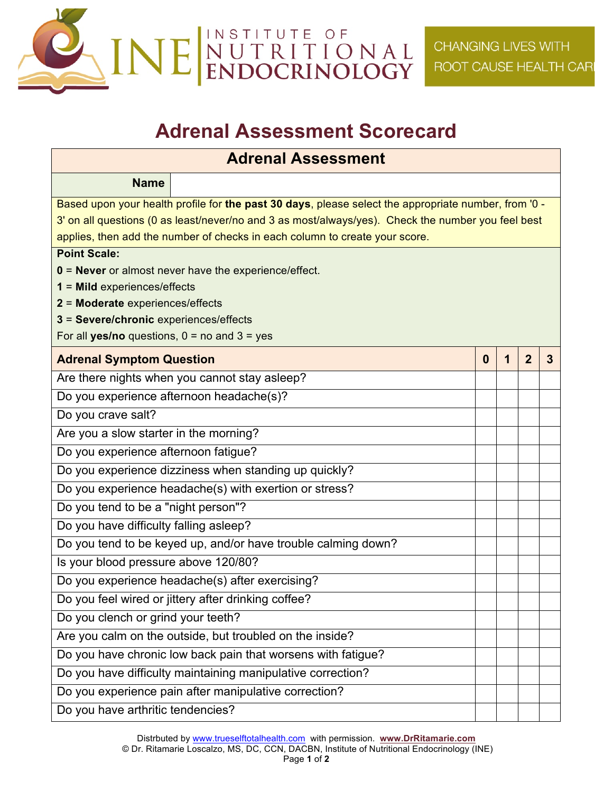

## **Adrenal Assessment Scorecard**

## **Adrenal Assessment**

| <b>Name</b>                                                                                          |  |  |   |                |   |  |  |
|------------------------------------------------------------------------------------------------------|--|--|---|----------------|---|--|--|
| Based upon your health profile for the past 30 days, please select the appropriate number, from '0 - |  |  |   |                |   |  |  |
| 3' on all questions (0 as least/never/no and 3 as most/always/yes). Check the number you feel best   |  |  |   |                |   |  |  |
| applies, then add the number of checks in each column to create your score.                          |  |  |   |                |   |  |  |
| <b>Point Scale:</b>                                                                                  |  |  |   |                |   |  |  |
| 0 = Never or almost never have the experience/effect.                                                |  |  |   |                |   |  |  |
| $1 =$ Mild experiences/effects                                                                       |  |  |   |                |   |  |  |
| 2 = Moderate experiences/effects<br>3 = Severe/chronic experiences/effects                           |  |  |   |                |   |  |  |
| For all yes/no questions, $0 =$ no and $3 =$ yes                                                     |  |  |   |                |   |  |  |
| <b>Adrenal Symptom Question</b>                                                                      |  |  | 1 | $\overline{2}$ | 3 |  |  |
| Are there nights when you cannot stay asleep?                                                        |  |  |   |                |   |  |  |
| Do you experience afternoon headache(s)?                                                             |  |  |   |                |   |  |  |
| Do you crave salt?                                                                                   |  |  |   |                |   |  |  |
| Are you a slow starter in the morning?                                                               |  |  |   |                |   |  |  |
| Do you experience afternoon fatigue?                                                                 |  |  |   |                |   |  |  |
| Do you experience dizziness when standing up quickly?                                                |  |  |   |                |   |  |  |
| Do you experience headache(s) with exertion or stress?                                               |  |  |   |                |   |  |  |
| Do you tend to be a "night person"?                                                                  |  |  |   |                |   |  |  |
| Do you have difficulty falling asleep?                                                               |  |  |   |                |   |  |  |
| Do you tend to be keyed up, and/or have trouble calming down?                                        |  |  |   |                |   |  |  |
| Is your blood pressure above 120/80?                                                                 |  |  |   |                |   |  |  |
| Do you experience headache(s) after exercising?                                                      |  |  |   |                |   |  |  |
| Do you feel wired or jittery after drinking coffee?                                                  |  |  |   |                |   |  |  |
| Do you clench or grind your teeth?                                                                   |  |  |   |                |   |  |  |
| Are you calm on the outside, but troubled on the inside?                                             |  |  |   |                |   |  |  |
| Do you have chronic low back pain that worsens with fatigue?                                         |  |  |   |                |   |  |  |
| Do you have difficulty maintaining manipulative correction?                                          |  |  |   |                |   |  |  |
| Do you experience pain after manipulative correction?                                                |  |  |   |                |   |  |  |
| Do you have arthritic tendencies?                                                                    |  |  |   |                |   |  |  |